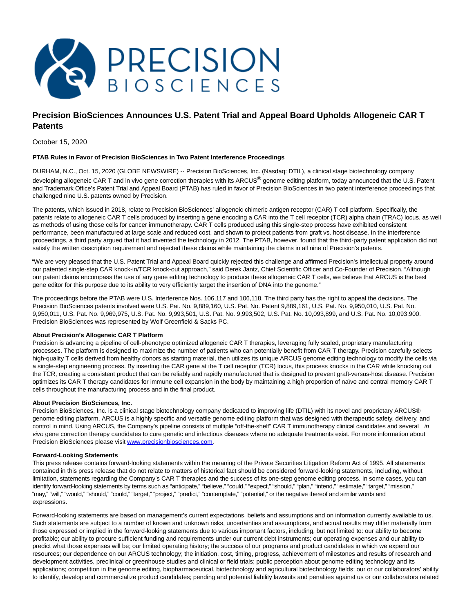

# **Precision BioSciences Announces U.S. Patent Trial and Appeal Board Upholds Allogeneic CAR T Patents**

October 15, 2020

## **PTAB Rules in Favor of Precision BioSciences in Two Patent Interference Proceedings**

DURHAM, N.C., Oct. 15, 2020 (GLOBE NEWSWIRE) -- Precision BioSciences, Inc. (Nasdaq: DTIL), a clinical stage biotechnology company developing allogeneic CAR T and in vivo gene correction therapies with its ARCUS® genome editing platform, today announced that the U.S. Patent and Trademark Office's Patent Trial and Appeal Board (PTAB) has ruled in favor of Precision BioSciences in two patent interference proceedings that challenged nine U.S. patents owned by Precision.

The patents, which issued in 2018, relate to Precision BioSciences' allogeneic chimeric antigen receptor (CAR) T cell platform. Specifically, the patents relate to allogeneic CAR T cells produced by inserting a gene encoding a CAR into the T cell receptor (TCR) alpha chain (TRAC) locus, as well as methods of using those cells for cancer immunotherapy. CAR T cells produced using this single-step process have exhibited consistent performance, been manufactured at large scale and reduced cost, and shown to protect patients from graft vs. host disease. In the interference proceedings, a third party argued that it had invented the technology in 2012. The PTAB, however, found that the third-party patent application did not satisfy the written description requirement and rejected these claims while maintaining the claims in all nine of Precision's patents.

"We are very pleased that the U.S. Patent Trial and Appeal Board quickly rejected this challenge and affirmed Precision's intellectual property around our patented single-step CAR knock-in/TCR knock-out approach," said Derek Jantz, Chief Scientific Officer and Co-Founder of Precision. "Although our patent claims encompass the use of any gene editing technology to produce these allogeneic CAR T cells, we believe that ARCUS is the best gene editor for this purpose due to its ability to very efficiently target the insertion of DNA into the genome."

The proceedings before the PTAB were U.S. Interference Nos. 106,117 and 106,118. The third party has the right to appeal the decisions. The Precision BioSciences patents involved were U.S. Pat. No. 9,889,160, U.S. Pat. No. Patent 9,889,161, U.S. Pat. No. 9,950,010, U.S. Pat. No. 9,950,011, U.S. Pat. No. 9,969,975, U.S. Pat. No. 9,993,501, U.S. Pat. No. 9,993,502, U.S. Pat. No. 10,093,899, and U.S. Pat. No. 10,093,900. Precision BioSciences was represented by Wolf Greenfield & Sacks PC.

## **About Precision's Allogeneic CAR T Platform**

Precision is advancing a pipeline of cell-phenotype optimized allogeneic CAR T therapies, leveraging fully scaled, proprietary manufacturing processes. The platform is designed to maximize the number of patients who can potentially benefit from CAR T therapy. Precision carefully selects high-quality T cells derived from healthy donors as starting material, then utilizes its unique ARCUS genome editing technology to modify the cells via a single-step engineering process. By inserting the CAR gene at the T cell receptor (TCR) locus, this process knocks in the CAR while knocking out the TCR, creating a consistent product that can be reliably and rapidly manufactured that is designed to prevent graft-versus-host disease. Precision optimizes its CAR T therapy candidates for immune cell expansion in the body by maintaining a high proportion of naïve and central memory CAR T cells throughout the manufacturing process and in the final product.

## **About Precision BioSciences, Inc.**

Precision BioSciences, Inc. is a clinical stage biotechnology company dedicated to improving life (DTIL) with its novel and proprietary ARCUS® genome editing platform. ARCUS is a highly specific and versatile genome editing platform that was designed with therapeutic safety, delivery, and control in mind. Using ARCUS, the Company's pipeline consists of multiple "off-the-shelf" CAR T immunotherapy clinical candidates and several in vivo gene correction therapy candidates to cure genetic and infectious diseases where no adequate treatments exist. For more information about Precision BioSciences please visi[t www.precisionbiosciences.com.](https://www.globenewswire.com/Tracker?data=AmDCaIa-2wTVQ__wUgt3yQsfOaKbHH5xC5OZB-pO8W0SRVSfZMdE7Cp-gp_GxXl-PELR51W1aHqYKGECHbec0AKeQPw1M7-Ip-QDaHkrIwn4i5H3AnoAk3wXkBD71AVd)

## **Forward-Looking Statements**

This press release contains forward-looking statements within the meaning of the Private Securities Litigation Reform Act of 1995. All statements contained in this press release that do not relate to matters of historical fact should be considered forward-looking statements, including, without limitation, statements regarding the Company's CAR T therapies and the success of its one-step genome editing process. In some cases, you can identify forward-looking statements by terms such as "anticipate," "believe," "could," "expect," "should," "plan," "intend," "estimate," "target," "mission," "may," "will," "would," "should," "could," "target," "project," "predict," "contemplate," "potential," or the negative thereof and similar words and expressions.

Forward-looking statements are based on management's current expectations, beliefs and assumptions and on information currently available to us. Such statements are subject to a number of known and unknown risks, uncertainties and assumptions, and actual results may differ materially from those expressed or implied in the forward-looking statements due to various important factors, including, but not limited to: our ability to become profitable; our ability to procure sufficient funding and requirements under our current debt instruments; our operating expenses and our ability to predict what those expenses will be; our limited operating history; the success of our programs and product candidates in which we expend our resources; our dependence on our ARCUS technology; the initiation, cost, timing, progress, achievement of milestones and results of research and development activities, preclinical or greenhouse studies and clinical or field trials; public perception about genome editing technology and its applications; competition in the genome editing, biopharmaceutical, biotechnology and agricultural biotechnology fields; our or our collaborators' ability to identify, develop and commercialize product candidates; pending and potential liability lawsuits and penalties against us or our collaborators related